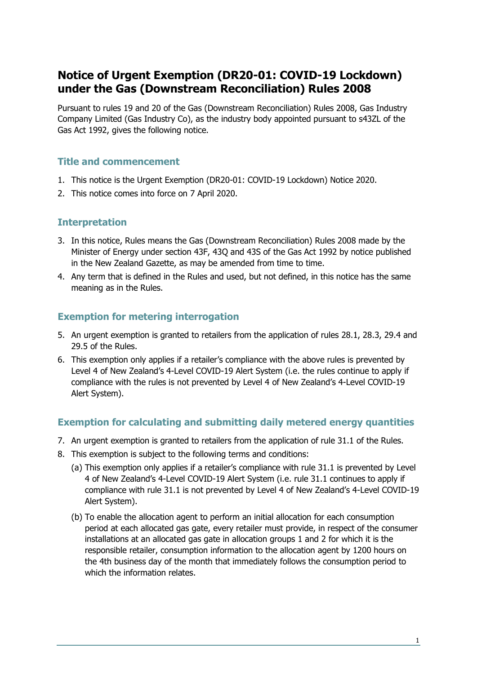# **Notice of Urgent Exemption (DR20-01: COVID-19 Lockdown) under the Gas (Downstream Reconciliation) Rules 2008**

Pursuant to rules 19 and 20 of the Gas (Downstream Reconciliation) Rules 2008, Gas Industry Company Limited (Gas Industry Co), as the industry body appointed pursuant to s43ZL of the Gas Act 1992, gives the following notice.

#### **Title and commencement**

- 1. This notice is the Urgent Exemption (DR20-01: COVID-19 Lockdown) Notice 2020.
- 2. This notice comes into force on 7 April 2020.

#### **Interpretation**

- 3. In this notice, Rules means the Gas (Downstream Reconciliation) Rules 2008 made by the Minister of Energy under section 43F, 43Q and 43S of the Gas Act 1992 by notice published in the New Zealand Gazette, as may be amended from time to time.
- 4. Any term that is defined in the Rules and used, but not defined, in this notice has the same meaning as in the Rules.

## **Exemption for metering interrogation**

- 5. An urgent exemption is granted to retailers from the application of rules 28.1, 28.3, 29.4 and 29.5 of the Rules.
- 6. This exemption only applies if a retailer's compliance with the above rules is prevented by Level 4 of New Zealand's 4-Level COVID-19 Alert System (i.e. the rules continue to apply if compliance with the rules is not prevented by Level 4 of New Zealand's 4-Level COVID-19 Alert System).

## **Exemption for calculating and submitting daily metered energy quantities**

- 7. An urgent exemption is granted to retailers from the application of rule 31.1 of the Rules.
- 8. This exemption is subject to the following terms and conditions:
	- (a) This exemption only applies if a retailer's compliance with rule 31.1 is prevented by Level 4 of New Zealand's 4-Level COVID-19 Alert System (i.e. rule 31.1 continues to apply if compliance with rule 31.1 is not prevented by Level 4 of New Zealand's 4-Level COVID-19 Alert System).
	- (b) To enable the allocation agent to perform an initial allocation for each consumption period at each allocated gas gate, every retailer must provide, in respect of the consumer installations at an allocated gas gate in allocation groups 1 and 2 for which it is the responsible retailer, consumption information to the allocation agent by 1200 hours on the 4th business day of the month that immediately follows the consumption period to which the information relates.